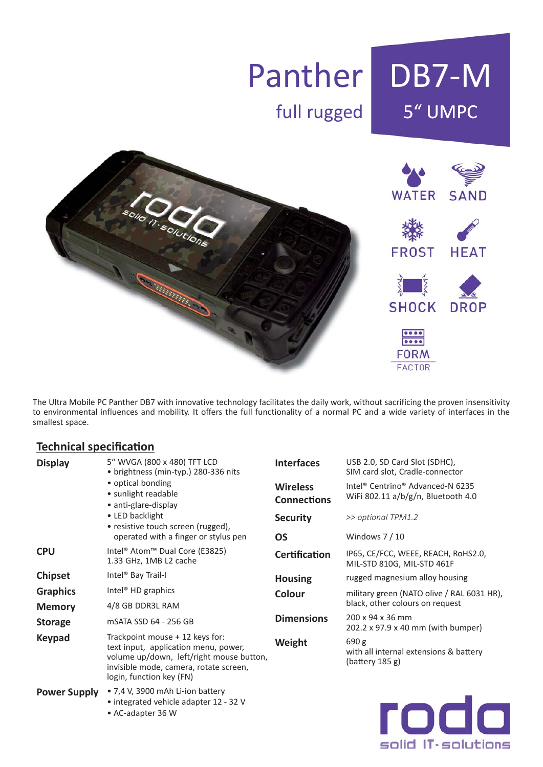

The Ultra Mobile PC Panther DB7 with innovative technology facilitates the daily work, without sacrificing the proven insensitivity to environmental influences and mobility. It offers the full functionality of a normal PC and a wide variety of interfaces in the smallest space.

### **Technical specification**

| <b>Display</b>      | 5" WVGA (800 x 480) TFT LCD<br>• brightness (min-typ.) 280-336 nits<br>• optical bonding<br>• sunlight readable<br>• anti-glare-display<br>• LED backlight<br>• resistive touch screen (rugged),<br>operated with a finger or stylus pen | <b>Interfaces</b>                     | USB 2.0, SD Card Slot (SDHC),<br>SIM card slot, Cradle-connector                               |  |  |
|---------------------|------------------------------------------------------------------------------------------------------------------------------------------------------------------------------------------------------------------------------------------|---------------------------------------|------------------------------------------------------------------------------------------------|--|--|
|                     |                                                                                                                                                                                                                                          | <b>Wireless</b><br><b>Connections</b> | Intel <sup>®</sup> Centrino <sup>®</sup> Advanced-N 6235<br>WiFi 802.11 a/b/g/n, Bluetooth 4.0 |  |  |
|                     |                                                                                                                                                                                                                                          | <b>Security</b>                       | >> optional TPM1.2                                                                             |  |  |
|                     |                                                                                                                                                                                                                                          | <b>OS</b>                             | Windows $7/10$                                                                                 |  |  |
| <b>CPU</b>          | Intel <sup>®</sup> Atom <sup>™</sup> Dual Core (E3825)<br>1.33 GHz, 1MB L2 cache                                                                                                                                                         | <b>Certification</b>                  | IP65, CE/FCC, WEEE, REACH, RoHS2.0,<br>MIL-STD 810G, MIL-STD 461F                              |  |  |
| <b>Chipset</b>      | Intel <sup>®</sup> Bay Trail-I                                                                                                                                                                                                           | <b>Housing</b>                        | rugged magnesium alloy housing                                                                 |  |  |
| <b>Graphics</b>     | Intel <sup>®</sup> HD graphics                                                                                                                                                                                                           | Colour                                | military green (NATO olive / RAL 6031 HR),<br>black, other colours on request                  |  |  |
| <b>Memory</b>       | 4/8 GB DDR3L RAM                                                                                                                                                                                                                         |                                       |                                                                                                |  |  |
| <b>Storage</b>      | mSATA SSD 64 - 256 GB                                                                                                                                                                                                                    | <b>Dimensions</b>                     | 200 x 94 x 36 mm<br>202.2 x 97.9 x 40 mm (with bumper)                                         |  |  |
| <b>Keypad</b>       | Trackpoint mouse + 12 keys for:<br>text input, application menu, power,<br>volume up/down, left/right mouse button,<br>invisible mode, camera, rotate screen,<br>login, function key (FN)                                                | Weight                                | 690 g<br>with all internal extensions & battery<br>(blattery 185 g)                            |  |  |
| <b>Power Supply</b> | • 7,4 V, 3900 mAh Li-ion battery                                                                                                                                                                                                         |                                       |                                                                                                |  |  |

• integrated vehicle adapter 12 - 32 V

• AC-adapter 36 W